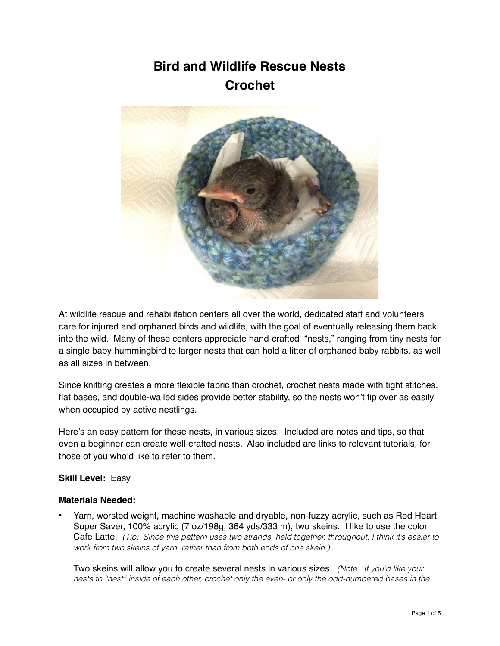# **Bird and Wildlife Rescue Nests Crochet**



At wildlife rescue and rehabilitation centers all over the world, dedicated staff and volunteers care for injured and orphaned birds and wildlife, with the goal of eventually releasing them back into the wild. Many of these centers appreciate hand-crafted "nests," ranging from tiny nests for a single baby hummingbird to larger nests that can hold a litter of orphaned baby rabbits, as well as all sizes in between.

Since knitting creates a more flexible fabric than crochet, crochet nests made with tight stitches, flat bases, and double-walled sides provide better stability, so the nests won't tip over as easily when occupied by active nestlings.

Here's an easy pattern for these nests, in various sizes. Included are notes and tips, so that even a beginner can create well-crafted nests. Also included are links to relevant tutorials, for those of you who'd like to refer to them.

#### **Skill Level:** Easy

#### **Materials Needed:**

• Yarn, worsted weight, machine washable and dryable, non-fuzzy acrylic, such as Red Heart Super Saver, 100% acrylic (7 oz/198g, 364 yds/333 m), two skeins. I like to use the color Cafe Latte. *(Tip: Since this pattern uses two strands, held together, throughout, I think it's easier to work from two skeins of yarn, rather than from both ends of one skein.)* 

Two skeins will allow you to create several nests in various sizes. *(Note: If you'd like your nests to "nest" inside of each other, crochet only the even- or only the odd-numbered bases in the*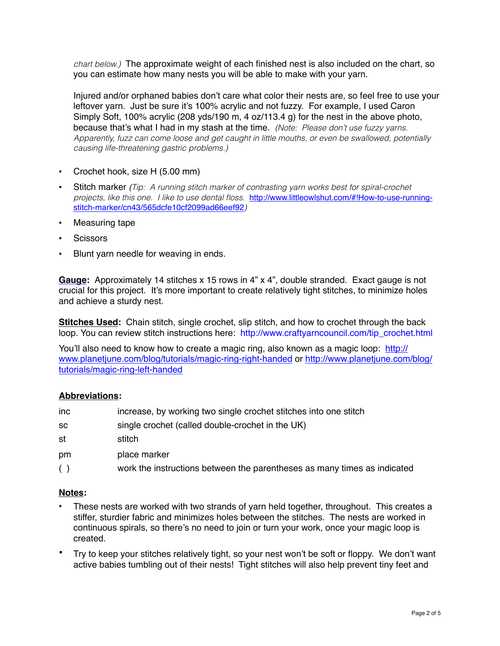*chart below.)* The approximate weight of each finished nest is also included on the chart, so you can estimate how many nests you will be able to make with your yarn.

Injured and/or orphaned babies don't care what color their nests are, so feel free to use your leftover yarn. Just be sure it's 100% acrylic and not fuzzy. For example, I used Caron Simply Soft, 100% acrylic (208 yds/190 m, 4 oz/113.4 g) for the nest in the above photo, because that's what I had in my stash at the time. *(Note: Please don't use fuzzy yarns. Apparently, fuzz can come loose and get caught in little mouths, or even be swallowed, potentially causing life-threatening gastric problems.)*

- Crochet hook, size H (5.00 mm)
- Stitch marker *(Tip: A running stitch marker of contrasting yarn works best for spiral-crochet projects, like this one. I like to use dental floss.* [http://www.littleowlshut.com/#!How-to-use-running](http://www.littleowlshut.com/#!How-to-use-running-stitch-marker/cn43/565dcfe10cf2099ad66eef92)stitch-marker/cn43/565dcfe10cf2099ad66eef92*)*
- Measuring tape
- **Scissors**
- Blunt yarn needle for weaving in ends.

**Gauge:** Approximately 14 stitches x 15 rows in 4" x 4", double stranded. Exact gauge is not crucial for this project. It's more important to create relatively tight stitches, to minimize holes and achieve a sturdy nest.

**Stitches Used:** Chain stitch, single crochet, slip stitch, and how to crochet through the back loop. You can review stitch instructions here: http://www.craftyarncouncil.com/tip\_crochet.html

You'll also need to know how to create a magic ring, also known as a magic loop: http:// [www.planetjune.com/blog/tutorials/magic-ring-right-handed or http://www.planetjune.co](http://www.planetjune.com/blog/tutorials/magic-ring-right-handed)[m/blog/](http://www.planetjune.com/blog/tutorials/magic-ring-left-handed) tutorials/magic-ring-left-handed

## **Abbreviations:**

| Inc | increase, by working two single crochet stitches into one stitch |  |  |  |
|-----|------------------------------------------------------------------|--|--|--|

- sc single crochet (called double-crochet in the UK)
- st stitch
- pm place marker
- ( ) work the instructions between the parentheses as many times as indicated

#### **Notes:**

- These nests are worked with two strands of yarn held together, throughout. This creates a stiffer, sturdier fabric and minimizes holes between the stitches. The nests are worked in continuous spirals, so there's no need to join or turn your work, once your magic loop is created.
- Try to keep your stitches relatively tight, so your nest won't be soft or floppy. We don't want active babies tumbling out of their nests! Tight stitches will also help prevent tiny feet and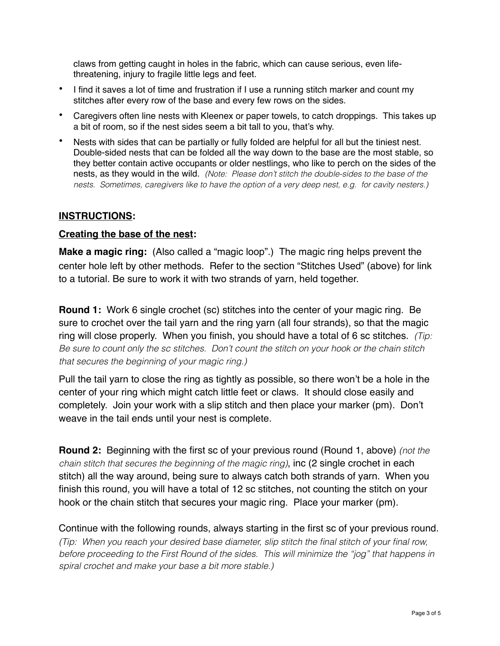claws from getting caught in holes in the fabric, which can cause serious, even lifethreatening, injury to fragile little legs and feet.

- I find it saves a lot of time and frustration if I use a running stitch marker and count my stitches after every row of the base and every few rows on the sides.
- Caregivers often line nests with Kleenex or paper towels, to catch droppings. This takes up a bit of room, so if the nest sides seem a bit tall to you, that's why.
- Nests with sides that can be partially or fully folded are helpful for all but the tiniest nest. Double-sided nests that can be folded all the way down to the base are the most stable, so they better contain active occupants or older nestlings, who like to perch on the sides of the nests, as they would in the wild. *(Note: Please don't stitch the double-sides to the base of the nests. Sometimes, caregivers like to have the option of a very deep nest, e.g. for cavity nesters.)*

## **INSTRUCTIONS:**

## **Creating the base of the nest:**

**Make a magic ring:** (Also called a "magic loop".) The magic ring helps prevent the center hole left by other methods. Refer to the section "Stitches Used" (above) for link to a tutorial. Be sure to work it with two strands of yarn, held together.

**Round 1:** Work 6 single crochet (sc) stitches into the center of your magic ring. Be sure to crochet over the tail yarn and the ring yarn (all four strands), so that the magic ring will close properly. When you finish, you should have a total of 6 sc stitches. *(Tip: Be sure to count only the sc stitches. Don't count the stitch on your hook or the chain stitch that secures the beginning of your magic ring.)* 

Pull the tail yarn to close the ring as tightly as possible, so there won't be a hole in the center of your ring which might catch little feet or claws. It should close easily and completely. Join your work with a slip stitch and then place your marker (pm). Don't weave in the tail ends until your nest is complete.

**Round 2:** Beginning with the first sc of your previous round (Round 1, above) *(not the chain stitch that secures the beginning of the magic ring)*, inc (2 single crochet in each stitch) all the way around, being sure to always catch both strands of yarn. When you finish this round, you will have a total of 12 sc stitches, not counting the stitch on your hook or the chain stitch that secures your magic ring. Place your marker (pm).

Continue with the following rounds, always starting in the first sc of your previous round. *(Tip: When you reach your desired base diameter, slip stitch the final stitch of your final row, before proceeding to the First Round of the sides. This will minimize the "jog" that happens in spiral crochet and make your base a bit more stable.)*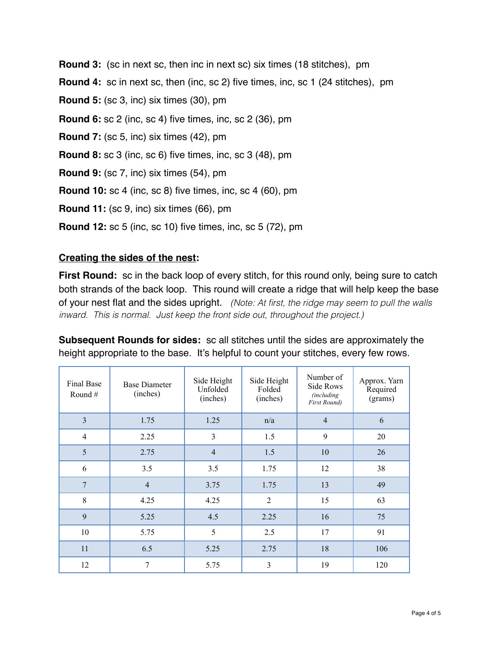**Round 3:** (sc in next sc, then inc in next sc) six times (18 stitches), pm **Round 4:** sc in next sc, then (inc, sc 2) five times, inc, sc 1 (24 stitches), pm **Round 5:** (sc 3, inc) six times (30), pm **Round 6:** sc 2 (inc, sc 4) five times, inc, sc 2 (36), pm **Round 7:** (sc 5, inc) six times (42), pm **Round 8:** sc 3 (inc, sc 6) five times, inc, sc 3 (48), pm **Round 9:** (sc 7, inc) six times (54), pm **Round 10:** sc 4 (inc, sc 8) five times, inc, sc 4 (60), pm **Round 11:** (sc 9, inc) six times (66), pm **Round 12:** sc 5 (inc, sc 10) five times, inc, sc 5 (72), pm

# **Creating the sides of the nest:**

**First Round:** sc in the back loop of every stitch, for this round only, being sure to catch both strands of the back loop. This round will create a ridge that will help keep the base of your nest flat and the sides upright. *(Note: At first, the ridge may seem to pull the walls inward. This is normal. Just keep the front side out, throughout the project.)*

**Subsequent Rounds for sides:** sc all stitches until the sides are approximately the height appropriate to the base. It's helpful to count your stitches, every few rows.

| Final Base<br>Round $#$ | <b>Base Diameter</b><br>(inches) | Side Height<br>Unfolded<br>(inches) | Side Height<br>Folded<br>(inches) | Number of<br>Side Rows<br><i>(including)</i><br><b>First Round</b> ) | Approx. Yarn<br>Required<br>(grams) |
|-------------------------|----------------------------------|-------------------------------------|-----------------------------------|----------------------------------------------------------------------|-------------------------------------|
| $\overline{\mathbf{3}}$ | 1.75                             | 1.25                                | n/a                               | $\overline{4}$                                                       | 6                                   |
| $\overline{4}$          | 2.25                             | $\overline{3}$                      | 1.5                               | 9                                                                    | 20                                  |
| 5                       | 2.75                             | $\overline{4}$                      | 1.5                               | 10                                                                   | 26                                  |
| 6                       | 3.5                              | 3.5                                 | 1.75                              | 12                                                                   | 38                                  |
| $\overline{7}$          | $\overline{4}$                   | 3.75                                | 1.75                              | 13                                                                   | 49                                  |
| 8                       | 4.25                             | 4.25                                | $\overline{2}$                    | 15                                                                   | 63                                  |
| 9                       | 5.25                             | 4.5                                 | 2.25                              | 16                                                                   | 75                                  |
| 10                      | 5.75                             | 5                                   | 2.5                               | 17                                                                   | 91                                  |
| 11                      | 6.5                              | 5.25                                | 2.75                              | 18                                                                   | 106                                 |
| 12                      | 7                                | 5.75                                | 3                                 | 19                                                                   | 120                                 |